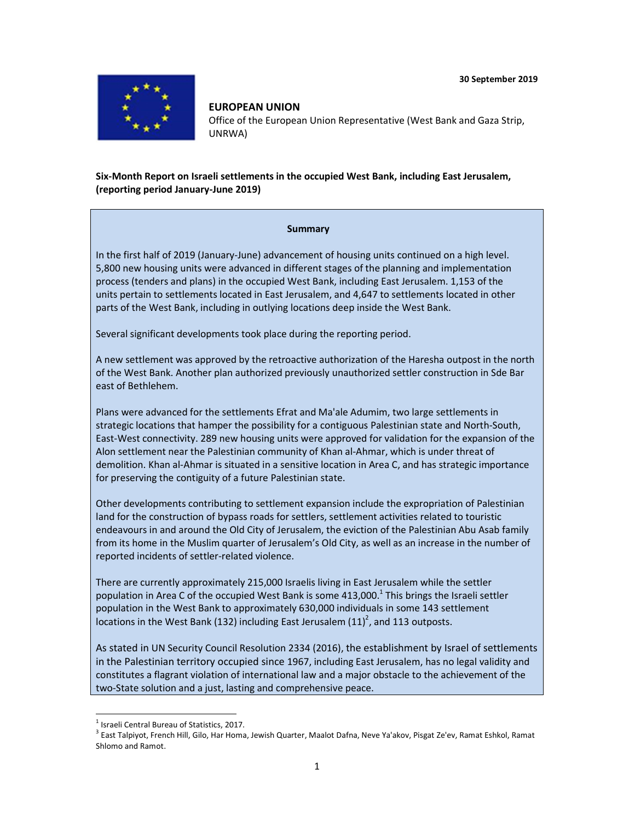

#### **EUROPEAN UNION**

Office of the European Union Representative (West Bank and Gaza Strip, UNRWA)

# **Six-Month Report on Israeli settlements in the occupied West Bank, including East Jerusalem, (reporting period January-June 2019)**

#### **Summary**

In the first half of 2019 (January-June) advancement of housing units continued on a high level. 5,800 new housing units were advanced in different stages of the planning and implementation process (tenders and plans) in the occupied West Bank, including East Jerusalem. 1,153 of the units pertain to settlements located in East Jerusalem, and 4,647 to settlements located in other parts of the West Bank, including in outlying locations deep inside the West Bank.

Several significant developments took place during the reporting period.

A new settlement was approved by the retroactive authorization of the Haresha outpost in the north of the West Bank. Another plan authorized previously unauthorized settler construction in Sde Bar east of Bethlehem.

Plans were advanced for the settlements Efrat and Ma'ale Adumim, two large settlements in strategic locations that hamper the possibility for a contiguous Palestinian state and North-South, East-West connectivity. 289 new housing units were approved for validation for the expansion of the Alon settlement near the Palestinian community of Khan al-Ahmar, which is under threat of demolition. Khan al-Ahmar is situated in a sensitive location in Area C, and has strategic importance for preserving the contiguity of a future Palestinian state.

Other developments contributing to settlement expansion include the expropriation of Palestinian land for the construction of bypass roads for settlers, settlement activities related to touristic endeavours in and around the Old City of Jerusalem, the eviction of the Palestinian Abu Asab family from its home in the Muslim quarter of Jerusalem's Old City, as well as an increase in the number of reported incidents of settler-related violence.

There are currently approximately 215,000 Israelis living in East Jerusalem while the settler population in Area C of the occupied West Bank is some 413,000.<sup>1</sup> This brings the Israeli settler population in the West Bank to approximately 630,000 individuals in some 143 settlement locations in the West Bank (132) including East Jerusalem (11)<sup>2</sup>, and 113 outposts.

As stated in UN Security Council Resolution 2334 (2016), the establishment by Israel of settlements in the Palestinian territory occupied since 1967, including East Jerusalem, has no legal validity and constitutes a flagrant violation of international law and a major obstacle to the achievement of the two-State solution and a just, lasting and comprehensive peace.

 $\overline{a}$ 

<sup>&</sup>lt;sup>1</sup> Israeli Central Bureau of Statistics, 2017.

<sup>&</sup>lt;sup>3</sup> East Talpiyot, French Hill, Gilo, Har Homa, Jewish Quarter, Maalot Dafna, Neve Ya'akov, Pisgat Ze'ev, Ramat Eshkol, Ramat Shlomo and Ramot.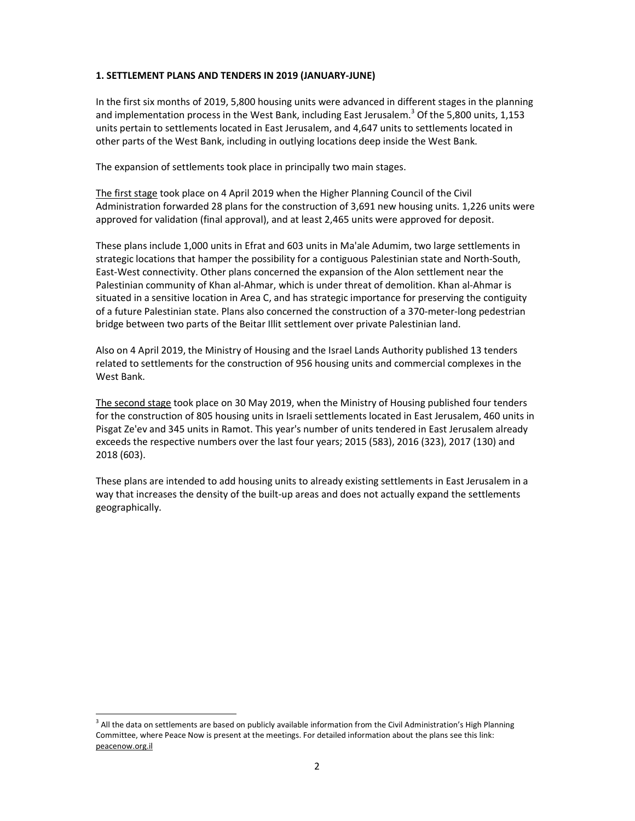## **1. SETTLEMENT PLANS AND TENDERS IN 2019 (JANUARY-JUNE)**

In the first six months of 2019, 5,800 housing units were advanced in different stages in the planning and implementation process in the West Bank, including East Jerusalem.<sup>3</sup> Of the 5,800 units, 1,153 units pertain to settlements located in East Jerusalem, and 4,647 units to settlements located in other parts of the West Bank, including in outlying locations deep inside the West Bank.

The expansion of settlements took place in principally two main stages.

The first stage took place on 4 April 2019 when the Higher Planning Council of the Civil Administration forwarded 28 plans for the construction of 3,691 new housing units. 1,226 units were approved for validation (final approval), and at least 2,465 units were approved for deposit.

These plans include 1,000 units in Efrat and 603 units in Ma'ale Adumim, two large settlements in strategic locations that hamper the possibility for a contiguous Palestinian state and North-South, East-West connectivity. Other plans concerned the expansion of the Alon settlement near the Palestinian community of Khan al-Ahmar, which is under threat of demolition. Khan al-Ahmar is situated in a sensitive location in Area C, and has strategic importance for preserving the contiguity of a future Palestinian state. Plans also concerned the construction of a 370-meter-long pedestrian bridge between two parts of the Beitar Illit settlement over private Palestinian land.

Also on 4 April 2019, the Ministry of Housing and the Israel Lands Authority published 13 tenders related to settlements for the construction of 956 housing units and commercial complexes in the West Bank.

The second stage took place on 30 May 2019, when the Ministry of Housing published four tenders for the construction of 805 housing units in Israeli settlements located in East Jerusalem, 460 units in Pisgat Ze'ev and 345 units in Ramot. This year's number of units tendered in East Jerusalem already exceeds the respective numbers over the last four years; 2015 (583), 2016 (323), 2017 (130) and 2018 (603).

These plans are intended to add housing units to already existing settlements in East Jerusalem in a way that increases the density of the built-up areas and does not actually expand the settlements geographically.

 $\overline{a}$ 

<sup>&</sup>lt;sup>3</sup> All the data on settlements are based on publicly available information from the Civil Administration's High Planning Committee, where Peace Now is present at the meetings. For detailed information about the plans see this link: peacenow.org.il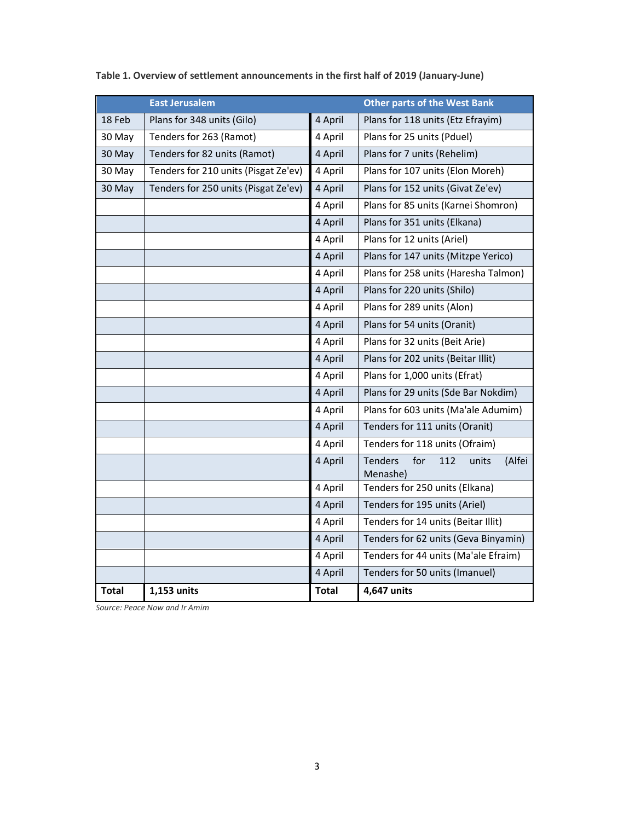|              | <b>East Jerusalem</b>                |              | <b>Other parts of the West Bank</b>                         |
|--------------|--------------------------------------|--------------|-------------------------------------------------------------|
| 18 Feb       | Plans for 348 units (Gilo)           | 4 April      | Plans for 118 units (Etz Efrayim)                           |
| 30 May       | Tenders for 263 (Ramot)              | 4 April      | Plans for 25 units (Pduel)                                  |
| 30 May       | Tenders for 82 units (Ramot)         | 4 April      | Plans for 7 units (Rehelim)                                 |
| 30 May       | Tenders for 210 units (Pisgat Ze'ev) | 4 April      | Plans for 107 units (Elon Moreh)                            |
| 30 May       | Tenders for 250 units (Pisgat Ze'ev) | 4 April      | Plans for 152 units (Givat Ze'ev)                           |
|              |                                      | 4 April      | Plans for 85 units (Karnei Shomron)                         |
|              |                                      | 4 April      | Plans for 351 units (Elkana)                                |
|              |                                      | 4 April      | Plans for 12 units (Ariel)                                  |
|              |                                      | 4 April      | Plans for 147 units (Mitzpe Yerico)                         |
|              |                                      | 4 April      | Plans for 258 units (Haresha Talmon)                        |
|              |                                      | 4 April      | Plans for 220 units (Shilo)                                 |
|              |                                      | 4 April      | Plans for 289 units (Alon)                                  |
|              |                                      | 4 April      | Plans for 54 units (Oranit)                                 |
|              |                                      | 4 April      | Plans for 32 units (Beit Arie)                              |
|              |                                      | 4 April      | Plans for 202 units (Beitar Illit)                          |
|              |                                      | 4 April      | Plans for 1,000 units (Efrat)                               |
|              |                                      | 4 April      | Plans for 29 units (Sde Bar Nokdim)                         |
|              |                                      | 4 April      | Plans for 603 units (Ma'ale Adumim)                         |
|              |                                      | 4 April      | Tenders for 111 units (Oranit)                              |
|              |                                      | 4 April      | Tenders for 118 units (Ofraim)                              |
|              |                                      | 4 April      | <b>Tenders</b><br>for<br>112<br>units<br>(Alfei<br>Menashe) |
|              |                                      | 4 April      | Tenders for 250 units (Elkana)                              |
|              |                                      | 4 April      | Tenders for 195 units (Ariel)                               |
|              |                                      | 4 April      | Tenders for 14 units (Beitar Illit)                         |
|              |                                      | 4 April      | Tenders for 62 units (Geva Binyamin)                        |
|              |                                      | 4 April      | Tenders for 44 units (Ma'ale Efraim)                        |
|              |                                      | 4 April      | Tenders for 50 units (Imanuel)                              |
| <b>Total</b> | 1,153 units                          | <b>Total</b> | 4,647 units                                                 |

**Table 1. Overview of settlement announcements in the first half of 2019 (January-June)** 

*Source: Peace Now and Ir Amim*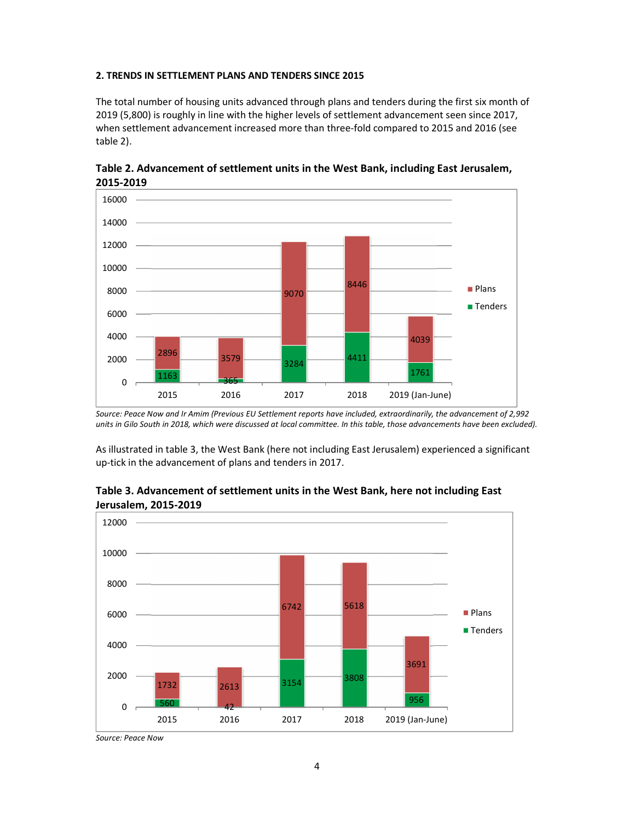#### **2. TRENDS IN SETTLEMENT PLANS AND TENDERS SINCE 2015**

The total number of housing units advanced through plans and tenders during the first six month of 2019 (5,800) is roughly in line with the higher levels of settlement advancement seen since 2017, when settlement advancement increased more than three-fold compared to 2015 and 2016 (see table 2).



**Table 2. Advancement of settlement units in the West Bank, including East Jerusalem, 2015-2019** 

*Source: Peace Now and Ir Amim (Previous EU Settlement reports have included, extraordinarily, the advancement of 2,992 units in Gilo South in 2018, which were discussed at local committee. In this table, those advancements have been excluded).* 

As illustrated in table 3, the West Bank (here not including East Jerusalem) experienced a significant up-tick in the advancement of plans and tenders in 2017.



**Table 3. Advancement of settlement units in the West Bank, here not including East Jerusalem, 2015-2019** 

*Source: Peace Now*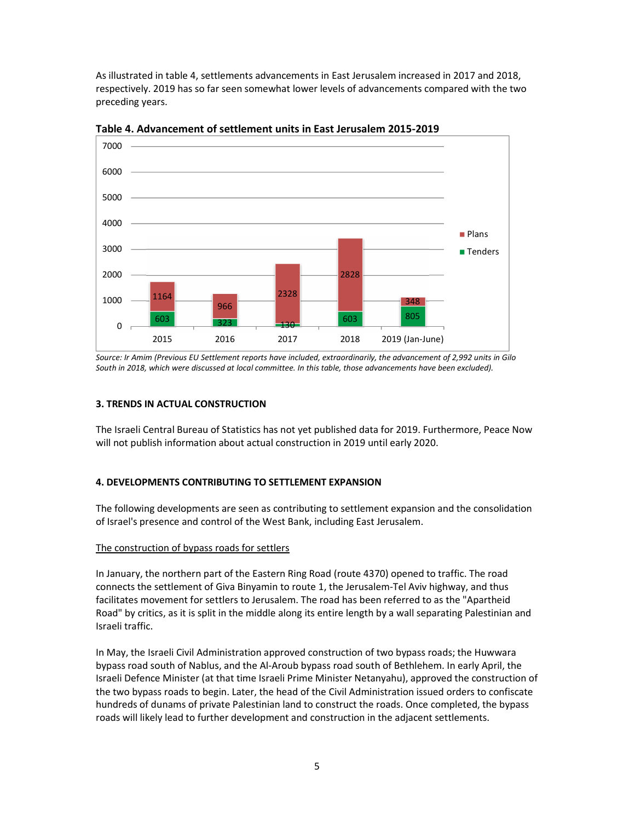As illustrated in table 4, settlements advancements in East Jerusalem increased in 2017 and 2018, respectively. 2019 has so far seen somewhat lower levels of advancements compared with the two preceding years.



**Table 4. Advancement of settlement units in East Jerusalem 2015-2019** 

*Source: Ir Amim (Previous EU Settlement reports have included, extraordinarily, the advancement of 2,992 units in Gilo South in 2018, which were discussed at local committee. In this table, those advancements have been excluded).* 

#### **3. TRENDS IN ACTUAL CONSTRUCTION**

The Israeli Central Bureau of Statistics has not yet published data for 2019. Furthermore, Peace Now will not publish information about actual construction in 2019 until early 2020.

## **4. DEVELOPMENTS CONTRIBUTING TO SETTLEMENT EXPANSION**

The following developments are seen as contributing to settlement expansion and the consolidation of Israel's presence and control of the West Bank, including East Jerusalem.

## The construction of bypass roads for settlers

In January, the northern part of the Eastern Ring Road (route 4370) opened to traffic. The road connects the settlement of Giva Binyamin to route 1, the Jerusalem-Tel Aviv highway, and thus facilitates movement for settlers to Jerusalem. The road has been referred to as the "Apartheid Road" by critics, as it is split in the middle along its entire length by a wall separating Palestinian and Israeli traffic.

In May, the Israeli Civil Administration approved construction of two bypass roads; the Huwwara bypass road south of Nablus, and the Al-Aroub bypass road south of Bethlehem. In early April, the Israeli Defence Minister (at that time Israeli Prime Minister Netanyahu), approved the construction of the two bypass roads to begin. Later, the head of the Civil Administration issued orders to confiscate hundreds of dunams of private Palestinian land to construct the roads. Once completed, the bypass roads will likely lead to further development and construction in the adjacent settlements.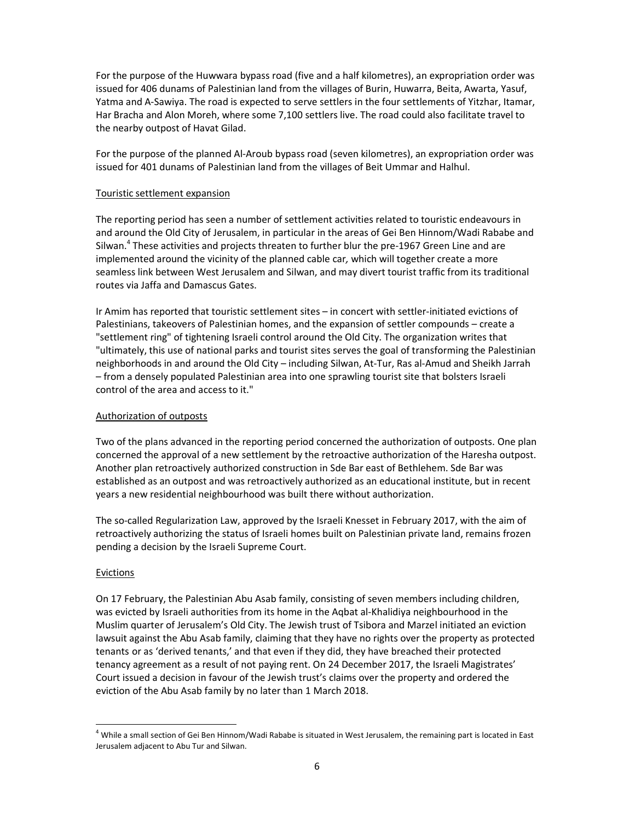For the purpose of the Huwwara bypass road (five and a half kilometres), an expropriation order was issued for 406 dunams of Palestinian land from the villages of Burin, Huwarra, Beita, Awarta, Yasuf, Yatma and A-Sawiya. The road is expected to serve settlers in the four settlements of Yitzhar, Itamar, Har Bracha and Alon Moreh, where some 7,100 settlers live. The road could also facilitate travel to the nearby outpost of Havat Gilad.

For the purpose of the planned Al-Aroub bypass road (seven kilometres), an expropriation order was issued for 401 dunams of Palestinian land from the villages of Beit Ummar and Halhul.

#### Touristic settlement expansion

The reporting period has seen a number of settlement activities related to touristic endeavours in and around the Old City of Jerusalem, in particular in the areas of Gei Ben Hinnom/Wadi Rababe and Silwan.<sup>4</sup> These activities and projects threaten to further blur the pre-1967 Green Line and are implemented around the vicinity of the planned cable car*,* which will together create a more seamless link between West Jerusalem and Silwan, and may divert tourist traffic from its traditional routes via Jaffa and Damascus Gates.

Ir Amim has reported that touristic settlement sites – in concert with settler-initiated evictions of Palestinians, takeovers of Palestinian homes, and the expansion of settler compounds – create a "settlement ring" of tightening Israeli control around the Old City. The organization writes that "ultimately, this use of national parks and tourist sites serves the goal of transforming the Palestinian neighborhoods in and around the Old City – including Silwan, At-Tur, Ras al-Amud and Sheikh Jarrah – from a densely populated Palestinian area into one sprawling tourist site that bolsters Israeli control of the area and access to it."

## Authorization of outposts

Two of the plans advanced in the reporting period concerned the authorization of outposts. One plan concerned the approval of a new settlement by the retroactive authorization of the Haresha outpost. Another plan retroactively authorized construction in Sde Bar east of Bethlehem. Sde Bar was established as an outpost and was retroactively authorized as an educational institute, but in recent years a new residential neighbourhood was built there without authorization.

The so-called Regularization Law, approved by the Israeli Knesset in February 2017, with the aim of retroactively authorizing the status of Israeli homes built on Palestinian private land, remains frozen pending a decision by the Israeli Supreme Court.

## **Evictions**

l,

On 17 February, the Palestinian Abu Asab family, consisting of seven members including children, was evicted by Israeli authorities from its home in the Aqbat al-Khalidiya neighbourhood in the Muslim quarter of Jerusalem's Old City. The Jewish trust of Tsibora and Marzel initiated an eviction lawsuit against the Abu Asab family, claiming that they have no rights over the property as protected tenants or as 'derived tenants,' and that even if they did, they have breached their protected tenancy agreement as a result of not paying rent. On 24 December 2017, the Israeli Magistrates' Court issued a decision in favour of the Jewish trust's claims over the property and ordered the eviction of the Abu Asab family by no later than 1 March 2018.

<sup>&</sup>lt;sup>4</sup> While a small section of Gei Ben Hinnom/Wadi Rababe is situated in West Jerusalem, the remaining part is located in East Jerusalem adjacent to Abu Tur and Silwan.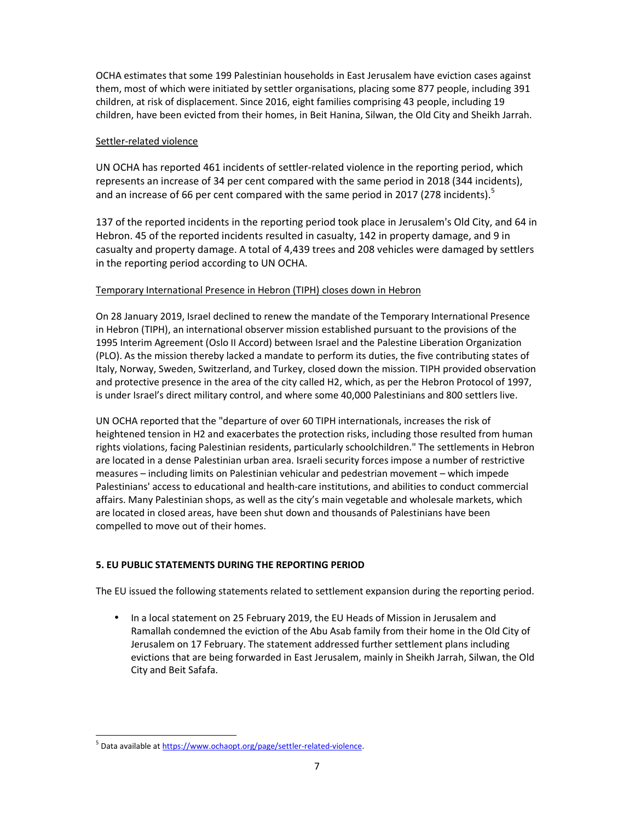OCHA estimates that some 199 Palestinian households in East Jerusalem have eviction cases against them, most of which were initiated by settler organisations, placing some 877 people, including 391 children, at risk of displacement. Since 2016, eight families comprising 43 people, including 19 children, have been evicted from their homes, in Beit Hanina, Silwan, the Old City and Sheikh Jarrah.

# Settler-related violence

UN OCHA has reported 461 incidents of settler-related violence in the reporting period, which represents an increase of 34 per cent compared with the same period in 2018 (344 incidents), and an increase of 66 per cent compared with the same period in 2017 (278 incidents).<sup>5</sup>

137 of the reported incidents in the reporting period took place in Jerusalem's Old City, and 64 in Hebron. 45 of the reported incidents resulted in casualty, 142 in property damage, and 9 in casualty and property damage. A total of 4,439 trees and 208 vehicles were damaged by settlers in the reporting period according to UN OCHA.

# Temporary International Presence in Hebron (TIPH) closes down in Hebron

On 28 January 2019, Israel declined to renew the mandate of the Temporary International Presence in Hebron (TIPH), an international observer mission established pursuant to the provisions of the 1995 Interim Agreement (Oslo II Accord) between Israel and the Palestine Liberation Organization (PLO). As the mission thereby lacked a mandate to perform its duties, the five contributing states of Italy, Norway, Sweden, Switzerland, and Turkey, closed down the mission. TIPH provided observation and protective presence in the area of the city called H2, which, as per the Hebron Protocol of 1997, is under Israel's direct military control, and where some 40,000 Palestinians and 800 settlers live.

UN OCHA reported that the "departure of over 60 TIPH internationals, increases the risk of heightened tension in H2 and exacerbates the protection risks, including those resulted from human rights violations, facing Palestinian residents, particularly schoolchildren." The settlements in Hebron are located in a dense Palestinian urban area. Israeli security forces impose a number of restrictive measures – including limits on Palestinian vehicular and pedestrian movement – which impede Palestinians' access to educational and health-care institutions, and abilities to conduct commercial affairs. Many Palestinian shops, as well as the city's main vegetable and wholesale markets, which are located in closed areas, have been shut down and thousands of Palestinians have been compelled to move out of their homes.

# **5. EU PUBLIC STATEMENTS DURING THE REPORTING PERIOD**

The EU issued the following statements related to settlement expansion during the reporting period.

• In a local statement on 25 February 2019, the EU Heads of Mission in Jerusalem and Ramallah condemned the eviction of the Abu Asab family from their home in the Old City of Jerusalem on 17 February. The statement addressed further settlement plans including evictions that are being forwarded in East Jerusalem, mainly in Sheikh Jarrah, Silwan, the Old City and Beit Safafa.

l,

<sup>&</sup>lt;sup>5</sup> Data available at https://www.ochaopt.org/page/settler-related-violence.